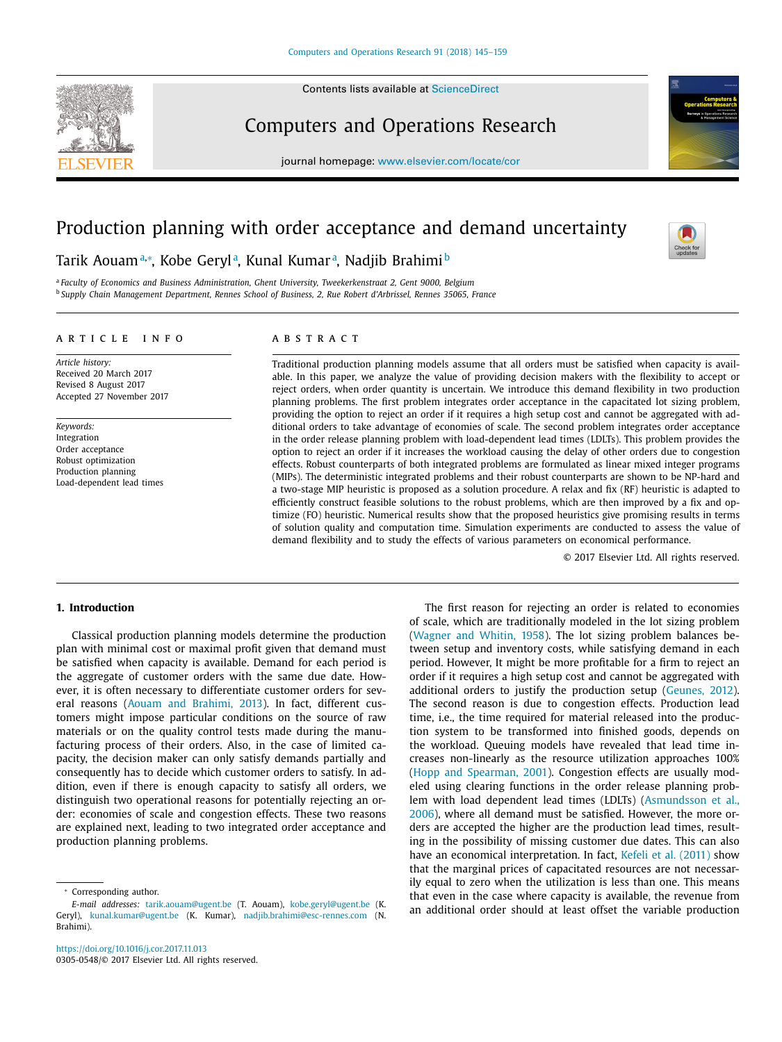Contents lists available at [ScienceDirect](http://www.ScienceDirect.com)



## Computers and Operations Research

journal homepage: [www.elsevier.com/locate/cor](http://www.elsevier.com/locate/cor)

## Production planning with order acceptance and demand uncertainty

### Tarik Aouamª,\*, Kobe Gerylª, Kunal Kumarª, Nadjib Brahimi<sup>b</sup>

<sup>a</sup> *Faculty of Economics and Business Administration, Ghent University, Tweekerkenstraat 2, Gent 9000, Belgium* <sup>b</sup> *Supply Chain Management Department, Rennes School of Business, 2, Rue Robert d'Arbrissel, Rennes 35065, France*

#### a r t i c l e i n f o

*Article history:* Received 20 March 2017 Revised 8 August 2017 Accepted 27 November 2017

*Keywords:* Integration Order acceptance Robust optimization Production planning Load-dependent lead times

#### A B S T R A C T

Traditional production planning models assume that all orders must be satisfied when capacity is available. In this paper, we analyze the value of providing decision makers with the flexibility to accept or reject orders, when order quantity is uncertain. We introduce this demand flexibility in two production planning problems. The first problem integrates order acceptance in the capacitated lot sizing problem, providing the option to reject an order if it requires a high setup cost and cannot be aggregated with additional orders to take advantage of economies of scale. The second problem integrates order acceptance in the order release planning problem with load-dependent lead times (LDLTs). This problem provides the option to reject an order if it increases the workload causing the delay of other orders due to congestion effects. Robust counterparts of both integrated problems are formulated as linear mixed integer programs (MIPs). The deterministic integrated problems and their robust counterparts are shown to be NP-hard and a two-stage MIP heuristic is proposed as a solution procedure. A relax and fix (RF) heuristic is adapted to efficiently construct feasible solutions to the robust problems, which are then improved by a fix and optimize (FO) heuristic. Numerical results show that the proposed heuristics give promising results in terms of solution quality and computation time. Simulation experiments are conducted to assess the value of demand flexibility and to study the effects of various parameters on economical performance.

© 2017 Elsevier Ltd. All rights reserved.

#### **1. Introduction**

Classical production planning models determine the production plan with minimal cost or maximal profit given that demand must be satisfied when capacity is available. Demand for each period is the aggregate of customer orders with the same due date. However, it is often necessary to differentiate customer orders for several reasons (Aouam and [Brahimi,](#page--1-0) 2013). In fact, different customers might impose particular conditions on the source of raw materials or on the quality control tests made during the manufacturing process of their orders. Also, in the case of limited capacity, the decision maker can only satisfy demands partially and consequently has to decide which customer orders to satisfy. In addition, even if there is enough capacity to satisfy all orders, we distinguish two operational reasons for potentially rejecting an order: economies of scale and congestion effects. These two reasons are explained next, leading to two integrated order acceptance and production planning problems.

The first reason for rejecting an order is related to economies of scale, which are traditionally modeled in the lot sizing problem [\(Wagner](#page--1-0) and Whitin, 1958). The lot sizing problem balances between setup and inventory costs, while satisfying demand in each period. However, It might be more profitable for a firm to reject an order if it requires a high setup cost and cannot be aggregated with additional orders to justify the production setup [\(Geunes,](#page--1-0) 2012). The second reason is due to congestion effects. Production lead time, i.e., the time required for material released into the production system to be transformed into finished goods, depends on the workload. Queuing models have revealed that lead time increases non-linearly as the resource utilization approaches 100% (Hopp and [Spearman,](#page--1-0) 2001). Congestion effects are usually modeled using clearing functions in the order release planning problem with load dependent lead times (LDLTs) [\(Asmundsson](#page--1-0) et al., 2006), where all demand must be satisfied. However, the more orders are accepted the higher are the production lead times, resulting in the possibility of missing customer due dates. This can also have an economical interpretation. In fact, Kefeli et al. [\(2011\)](#page--1-0) show that the marginal prices of capacitated resources are not necessarily equal to zero when the utilization is less than one. This means that even in the case where capacity is available, the revenue from an additional order should at least offset the variable production

<sup>∗</sup> Corresponding author.

*E-mail addresses:* [tarik.aouam@ugent.be](mailto:tarik.aouam@ugent.be) (T. Aouam), [kobe.geryl@ugent.be](mailto:kobe.geryl@ugent.be) (K. Geryl), [kunal.kumar@ugent.be](mailto:kunal.kumar@ugent.be) (K. Kumar), [nadjib.brahimi@esc-rennes.com](mailto:nadjib.brahimi@esc-rennes.com) (N. Brahimi).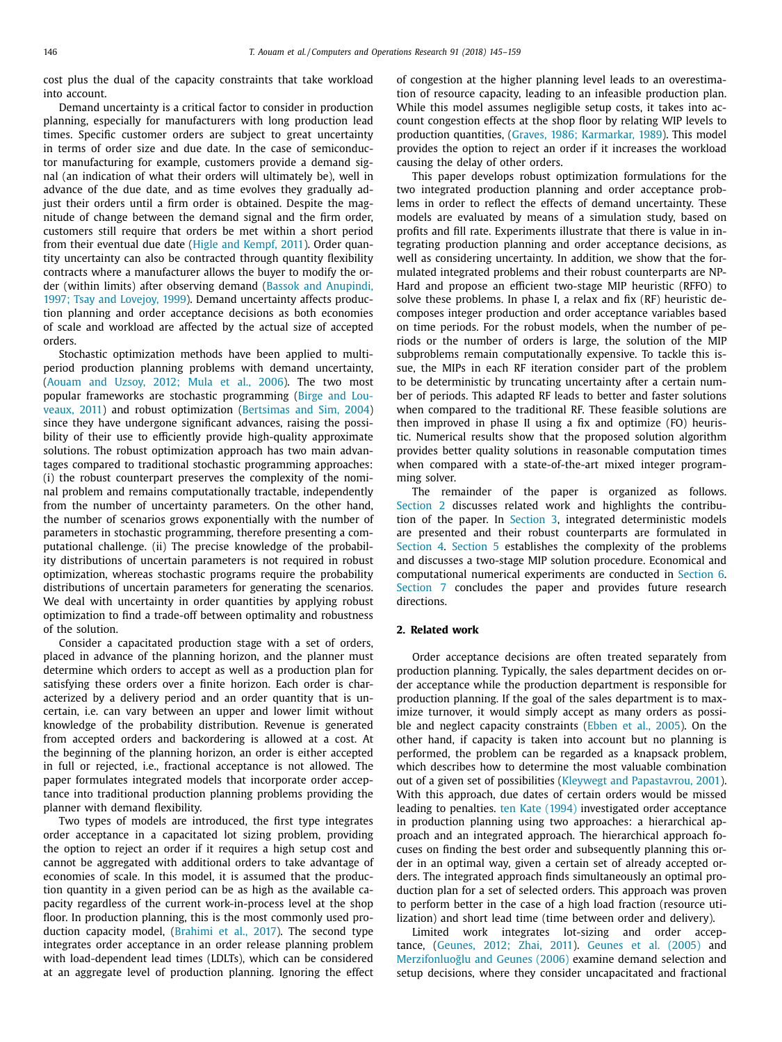cost plus the dual of the capacity constraints that take workload into account.

Demand uncertainty is a critical factor to consider in production planning, especially for manufacturers with long production lead times. Specific customer orders are subject to great uncertainty in terms of order size and due date. In the case of semiconductor manufacturing for example, customers provide a demand signal (an indication of what their orders will ultimately be), well in advance of the due date, and as time evolves they gradually adjust their orders until a firm order is obtained. Despite the magnitude of change between the demand signal and the firm order, customers still require that orders be met within a short period from their eventual due date (Higle and [Kempf,](#page--1-0) 2011). Order quantity uncertainty can also be contracted through quantity flexibility contracts where a manufacturer allows the buyer to modify the order (within limits) after observing demand (Bassok and Anupindi, 1997; Tsay and Lovejoy, 1999). Demand [uncertainty](#page--1-0) affects production planning and order acceptance decisions as both economies of scale and workload are affected by the actual size of accepted orders.

Stochastic optimization methods have been applied to multiperiod production planning problems with demand uncertainty, [\(Aouam](#page--1-0) and Uzsoy, 2012; Mula et al., 2006). The two most popular frameworks are stochastic [programming](#page--1-0) (Birge and Louveaux, 2011) and robust optimization [\(Bertsimas](#page--1-0) and Sim, 2004) since they have undergone significant advances, raising the possibility of their use to efficiently provide high-quality approximate solutions. The robust optimization approach has two main advantages compared to traditional stochastic programming approaches: (i) the robust counterpart preserves the complexity of the nominal problem and remains computationally tractable, independently from the number of uncertainty parameters. On the other hand, the number of scenarios grows exponentially with the number of parameters in stochastic programming, therefore presenting a computational challenge. (ii) The precise knowledge of the probability distributions of uncertain parameters is not required in robust optimization, whereas stochastic programs require the probability distributions of uncertain parameters for generating the scenarios. We deal with uncertainty in order quantities by applying robust optimization to find a trade-off between optimality and robustness of the solution.

Consider a capacitated production stage with a set of orders, placed in advance of the planning horizon, and the planner must determine which orders to accept as well as a production plan for satisfying these orders over a finite horizon. Each order is characterized by a delivery period and an order quantity that is uncertain, i.e. can vary between an upper and lower limit without knowledge of the probability distribution. Revenue is generated from accepted orders and backordering is allowed at a cost. At the beginning of the planning horizon, an order is either accepted in full or rejected, i.e., fractional acceptance is not allowed. The paper formulates integrated models that incorporate order acceptance into traditional production planning problems providing the planner with demand flexibility.

Two types of models are introduced, the first type integrates order acceptance in a capacitated lot sizing problem, providing the option to reject an order if it requires a high setup cost and cannot be aggregated with additional orders to take advantage of economies of scale. In this model, it is assumed that the production quantity in a given period can be as high as the available capacity regardless of the current work-in-process level at the shop floor. In production planning, this is the most commonly used production capacity model, [\(Brahimi](#page--1-0) et al., 2017). The second type integrates order acceptance in an order release planning problem with load-dependent lead times (LDLTs), which can be considered at an aggregate level of production planning. Ignoring the effect of congestion at the higher planning level leads to an overestimation of resource capacity, leading to an infeasible production plan. While this model assumes negligible setup costs, it takes into account congestion effects at the shop floor by relating WIP levels to production quantities, (Graves, 1986; [Karmarkar,](#page--1-0) 1989). This model provides the option to reject an order if it increases the workload causing the delay of other orders.

This paper develops robust optimization formulations for the two integrated production planning and order acceptance problems in order to reflect the effects of demand uncertainty. These models are evaluated by means of a simulation study, based on profits and fill rate. Experiments illustrate that there is value in integrating production planning and order acceptance decisions, as well as considering uncertainty. In addition, we show that the formulated integrated problems and their robust counterparts are NP-Hard and propose an efficient two-stage MIP heuristic (RFFO) to solve these problems. In phase I, a relax and fix (RF) heuristic decomposes integer production and order acceptance variables based on time periods. For the robust models, when the number of periods or the number of orders is large, the solution of the MIP subproblems remain computationally expensive. To tackle this issue, the MIPs in each RF iteration consider part of the problem to be deterministic by truncating uncertainty after a certain number of periods. This adapted RF leads to better and faster solutions when compared to the traditional RF. These feasible solutions are then improved in phase II using a fix and optimize (FO) heuristic. Numerical results show that the proposed solution algorithm provides better quality solutions in reasonable computation times when compared with a state-of-the-art mixed integer programming solver.

The remainder of the paper is organized as follows. Section 2 discusses related work and highlights the contribution of the paper. In [Section](#page--1-0) 3, integrated deterministic models are presented and their robust counterparts are formulated in [Section](#page--1-0) 4. [Section](#page--1-0) 5 establishes the complexity of the problems and discusses a two-stage MIP solution procedure. Economical and computational numerical experiments are conducted in [Section](#page--1-0) 6. [Section](#page--1-0) 7 concludes the paper and provides future research directions.

#### **2. Related work**

Order acceptance decisions are often treated separately from production planning. Typically, the sales department decides on order acceptance while the production department is responsible for production planning. If the goal of the sales department is to maximize turnover, it would simply accept as many orders as possible and neglect capacity constraints [\(Ebben](#page--1-0) et al., 2005). On the other hand, if capacity is taken into account but no planning is performed, the problem can be regarded as a knapsack problem, which describes how to determine the most valuable combination out of a given set of possibilities (Kleywegt and [Papastavrou,](#page--1-0) 2001). With this approach, due dates of certain orders would be missed leading to penalties. ten Kate [\(1994\)](#page--1-0) investigated order acceptance in production planning using two approaches: a hierarchical approach and an integrated approach. The hierarchical approach focuses on finding the best order and subsequently planning this order in an optimal way, given a certain set of already accepted orders. The integrated approach finds simultaneously an optimal production plan for a set of selected orders. This approach was proven to perform better in the case of a high load fraction (resource utilization) and short lead time (time between order and delivery).

Limited work integrates lot-sizing and order acceptance, [\(Geunes,](#page--1-0) 2012; Zhai, 2011). [Geunes](#page--1-0) et al. (2005) and Merzifonluoğlu and Geunes (2006) examine demand selection and setup decisions, where they consider uncapacitated and fractional